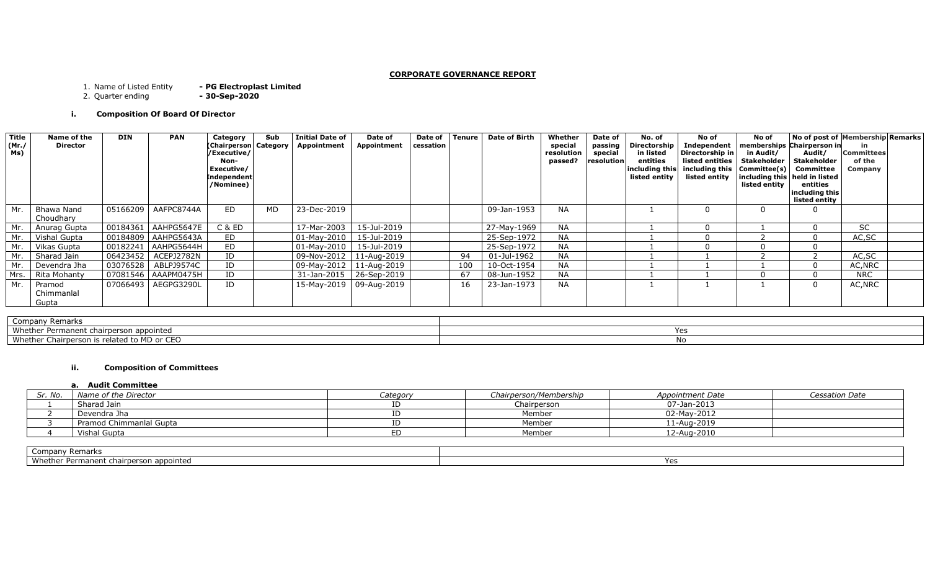## **CORPORATE GOVERNANCE REPORT**

- PG Electroplast Limited<br>- 30-Sep-2020 1. Name of Listed Entity<br>2. Quarter ending

# **i. Composition Of Board Of Director**

| <b>Title</b><br>(Mr./<br>Ms) | Name of the<br><b>Director</b> | <b>DIN</b> | <b>PAN</b>            | Category<br>(Chairperson Category<br>/Executive/<br>Non-<br>Executive/<br><b>Independent</b><br>/Nominee) | Sub | <b>Initial Date of</b><br>Appointment | Date of<br>Appointment    | Date of<br>cessation | <b>Tenure</b> | <b>Date of Birth</b> | Whether<br>special<br>resolution<br>passed? | Date of<br>passing<br>special<br>resolution | No. of<br>Directorship<br>in listed<br>entities<br>including this<br>listed entity | No of<br>Independent<br>Directorship in<br>listed entities<br>including this $ Commitee(s) $<br>listed entity | No of<br>memberships Chairperson in<br>in Audit/<br>Stakeholder<br>including this   held in listed<br>listed entity | No of post of Membership Remarks<br>Audit/<br><b>Stakeholder</b><br>Committee<br>entities<br>including this<br>listed entity | in<br><b>Committees</b><br>of the<br>Company |  |
|------------------------------|--------------------------------|------------|-----------------------|-----------------------------------------------------------------------------------------------------------|-----|---------------------------------------|---------------------------|----------------------|---------------|----------------------|---------------------------------------------|---------------------------------------------|------------------------------------------------------------------------------------|---------------------------------------------------------------------------------------------------------------|---------------------------------------------------------------------------------------------------------------------|------------------------------------------------------------------------------------------------------------------------------|----------------------------------------------|--|
| Mr.                          | Bhawa Nand<br>Choudhary        |            | 05166209   AAFPC8744A | ED                                                                                                        | MD  | 23-Dec-2019                           |                           |                      |               | 09-Jan-1953          | <b>NA</b>                                   |                                             |                                                                                    |                                                                                                               |                                                                                                                     |                                                                                                                              |                                              |  |
| Mr.                          | Anurag Gupta                   |            | 00184361   AAHPG5647E | C & ED                                                                                                    |     | 17-Mar-2003                           | 15-Jul-2019               |                      |               | 27-May-1969          | <b>NA</b>                                   |                                             |                                                                                    |                                                                                                               |                                                                                                                     |                                                                                                                              | <b>SC</b>                                    |  |
| Mr. I                        | Vishal Gupta                   |            | 00184809   AAHPG5643A | ED                                                                                                        |     | $01$ -Mav-2010                        | 15-Jul-2019               |                      |               | 25-Sep-1972          | <b>NA</b>                                   |                                             |                                                                                    |                                                                                                               |                                                                                                                     |                                                                                                                              | AC, SC                                       |  |
| Mr. I                        | Vikas Gupta                    |            | 00182241   AAHPG5644H | ED                                                                                                        |     | $01$ -Mav-2010                        | 15-Jul-2019               |                      |               | 25-Sep-1972          | <b>NA</b>                                   |                                             |                                                                                    |                                                                                                               |                                                                                                                     |                                                                                                                              |                                              |  |
| Mr.                          | Sharad Jain                    |            | 06423452   ACEPJ2782N | ID                                                                                                        |     | 09-Nov-2012                           | 11-Aug-2019               |                      | 94            | 01-Jul-1962          | <b>NA</b>                                   |                                             |                                                                                    |                                                                                                               |                                                                                                                     |                                                                                                                              | AC, SC                                       |  |
| Mr.                          | Devendra Jha                   | 03076528   | ABLPJ9574C            | ID                                                                                                        |     |                                       | 09-May-2012   11-Aug-2019 |                      | 100           | 10-Oct-1954          | <b>NA</b>                                   |                                             |                                                                                    |                                                                                                               |                                                                                                                     |                                                                                                                              | AC, NRC                                      |  |
| Mrs. I                       | Rita Mohanty                   |            | 07081546   AAAPM0475H | ID                                                                                                        |     | 31-Jan-2015                           | 26-Sep-2019               |                      | 67            | 08-Jun-1952          | <b>NA</b>                                   |                                             |                                                                                    |                                                                                                               |                                                                                                                     |                                                                                                                              | <b>NRC</b>                                   |  |
| Mr.                          | Pramod<br>Chimmanlal<br>Gupta  |            | 07066493   AEGPG3290L | ID                                                                                                        |     |                                       | 15-May-2019   09-Aug-2019 |                      | 16            | 23-Jan-1973          | <b>NA</b>                                   |                                             |                                                                                    |                                                                                                               |                                                                                                                     |                                                                                                                              | AC, NRC                                      |  |

| Company Remarks                             |  |
|---------------------------------------------|--|
| Whether Permanent chairperson appointed     |  |
| Whether Chairperson is related to MD or CEO |  |

## **ii. Composition of Committees**

#### **a. Audit Committee**

| Sr. No. | Name of the Director    | Category | Chairperson/Membership | Appointment Date | <b>Cessation Date</b> |
|---------|-------------------------|----------|------------------------|------------------|-----------------------|
|         | Sharad Jain             |          | Chairperson            | 07-Jan-2013      |                       |
|         | Devendra Jha            |          | Member                 | 02-May-2012      |                       |
|         | Pramod Chimmanlal Gupta |          | Member                 | 11-Aug-2019      |                       |
|         | Vishal Gupta            |          | Member                 | 12-Aug-2010      |                       |

| Company Remarks                         |  |
|-----------------------------------------|--|
| Whether Permanent chairperson appointed |  |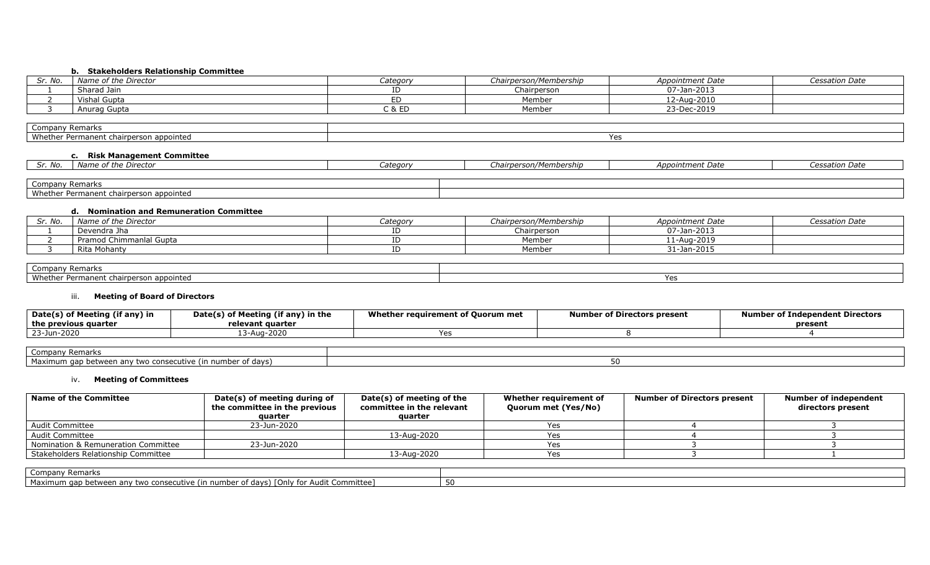## **b. Stakeholders Relationship Committee**

| . No<br>، ، ب | Name of the Director | Categor | Chairperson/Membership | Appointment Date | <b>Cessation Date</b> |
|---------------|----------------------|---------|------------------------|------------------|-----------------------|
|               | Sharad Jain          | ᅩ       | Chairperson            | 07-Jan-2013      |                       |
|               | Vishal Gupta         |         | Member                 | 12-Aug-2010      |                       |
|               | Anurag Gupta         | J & ED  | Member                 | 23-Dec-2019      |                       |

| ำmpanv Remarks                             |            |
|--------------------------------------------|------------|
| Whether Permanent<br>appointed י<br>chairb | v^<br>د با |

# **c. Risk Management Committee**

| Sr. No.         | Name of the Director                    | Category | Chairperson/Membership | Appointment Date | Cessation Date |
|-----------------|-----------------------------------------|----------|------------------------|------------------|----------------|
|                 |                                         |          |                        |                  |                |
| Company Remarks |                                         |          |                        |                  |                |
|                 | Whether Permanent chairperson appointed |          |                        |                  |                |

#### **d. Nomination and Remuneration Committee**

| Sr. No. | Name of the Director    | Categor | Chairperson/Membership | Appointment Date | <i>Cessation Date</i> |
|---------|-------------------------|---------|------------------------|------------------|-----------------------|
|         | Devendra Jha            |         | Chairperson            | 07-Jan-2013      |                       |
|         | Pramod Chimmanlal Gupta |         | Member                 | 11-Aug-2019      |                       |
|         | Rita Mohanty            |         | Member                 | 31-Jan-2015      |                       |

| ompany Remarks                                                           |     |
|--------------------------------------------------------------------------|-----|
| Whether<br>appointed <sup>.</sup><br>$   -$<br>Permanei<br>… chairberson | . . |

# iii. **Meeting of Board of Directors**

| f Meeting (if any) in<br>Date(s) of<br>$\mid$ the previous quarter | <b>Cof Meeting (if any)</b> (<br>) in the<br>Date(s)<br>relevant quarter | Whether requirement of Ouorum met | of Directors present<br>Number | <b>Numbe</b><br>endent Directors)<br>r of Indeper<br>present |
|--------------------------------------------------------------------|--------------------------------------------------------------------------|-----------------------------------|--------------------------------|--------------------------------------------------------------|
| 23-Jun-2020                                                        | ug-2020                                                                  |                                   |                                |                                                              |

| Company Remarks                                             |  |
|-------------------------------------------------------------|--|
| Maximum gap between any two consecutive (in number of days) |  |

# iv. **Meeting of Committees**

| <b>Name of the Committee</b>        | Date(s) of meeting during of<br>the committee in the previous | Date(s) of meeting of the<br>committee in the relevant | Whether requirement of<br>Quorum met (Yes/No) | <b>Number of Directors present</b> | Number of independent<br>directors present |
|-------------------------------------|---------------------------------------------------------------|--------------------------------------------------------|-----------------------------------------------|------------------------------------|--------------------------------------------|
|                                     | auarter                                                       | auarter                                                |                                               |                                    |                                            |
| Audit Committee                     | 23-Jun-2020                                                   |                                                        |                                               |                                    |                                            |
| Audit Committee                     |                                                               | 13-Aug-2020                                            |                                               |                                    |                                            |
| Nomination & Remuneration Committee | 23-Jun-2020                                                   |                                                        |                                               |                                    |                                            |
| Stakeholders Relationship Committee |                                                               | 13-Aug-2020                                            |                                               |                                    |                                            |

| Company Remarks                                                                        |  |
|----------------------------------------------------------------------------------------|--|
| Maximum gap between any two consecutive (in number of days) [Only for Audit Committee] |  |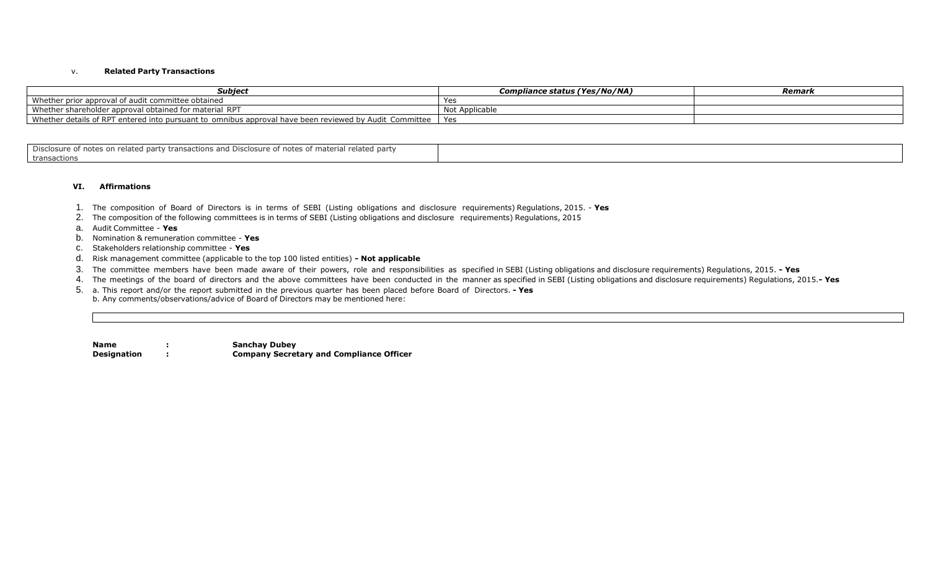#### v. **Related Party Transactions**

| Subject                                                                                                | <b>Compliance status (Yes/No/NA)</b> | Remark |
|--------------------------------------------------------------------------------------------------------|--------------------------------------|--------|
| Whether prior approval of audit committee obtained                                                     |                                      |        |
| <b>RPT</b><br>Whether shareholder approval obtained for material                                       | Not Applicable                       |        |
| Whether details of RPT entered into pursuant to omnibus approval have been reviewed by Audit Committee | Yes                                  |        |

| . Disclosure o<br>$\lrcorner$ party transactions and Disclosure of notes of material related party<br><sup>.</sup> notes on related |  |
|-------------------------------------------------------------------------------------------------------------------------------------|--|
| transactions                                                                                                                        |  |

#### **VI. Affirmations**

- 1. The composition of Board of Directors is in terms of SEBI (Listing obligations and disclosure requirements) Regulations, 2015. **Yes**
- 2. The composition of the following committees is in terms of SEBI (Listing obligations and disclosure requirements) Regulations, 2015
- a. Audit Committee **Yes**
- b. Nomination & remuneration committee **Yes**
- c. Stakeholders relationship committee **Yes**
- d. Risk management committee (applicable to the top 100 listed entities) **- Not applicable**
- 3. The committee members have been made aware of their powers, role and responsibilities as specified in SEBI (Listing obligations and disclosure requirements) Regulations, 2015. **- Yes**
- 4. The meetings of the board of directors and the above committees have been conducted in the manner as specified in SEBI (Listing obligations and disclosure requirements) Regulations, 2015.**- Yes**
- 5. a. This report and/or the report submitted in the previous quarter has been placed before Board of Directors. **- Yes** b. Any comments/observations/advice of Board of Directors may be mentioned here:

**Name : Sanchay Dubey Designation : Company Secretary and Compliance Officer**